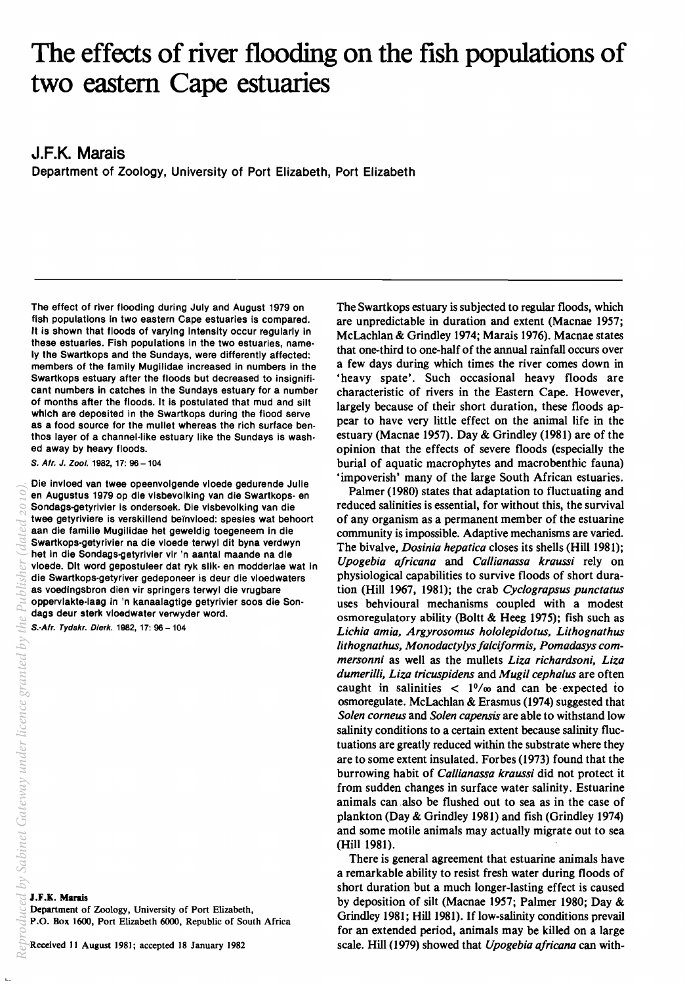# The effects of river flooding on the fish populations of two eastern Cape estuaries

**J.F.K. Marais** 

Department of Zoology, University of Port Elizabeth, Port Elizabeth

The effect of river flooding during July and August 1979 on fish populations in two eastern Cape estuaries is compared. It is shown that floods of varying intensity occur regularly in these estuaries. Fish populations in the two estuaries, namely the Swartkops and the Sundays, were differently affected: members of the family Mugilidae increased in numbers in the Swartkops estuary after the floods but decreased to insignifi· cant numbers in catches in the Sundays estuary for a number of months after the floods. It is postulated that mud and silt which are deposited in the Swartkops during the flood serve as a food source for the mullet whereas the rich surface ben· thos layer of a channel·like estuary like the Sundays is wash· ed away by heavy floods.

S. Afr. J. Zool. 1982, 17: 96 - 104

Die invloed van twee opeenvolgende vloede gedurende Julie en Augustus 1979 op die visbevolking van die Swartkops- en Sondags-getyrivier is ondersoek. Die visbevolking van die twee getyriviere is verskillend be"invloed: spesies wat behoort aan die familie Mugilidae het geweldig toegeneem in die Swartkops-getyrivier na die vloede terwyl dit byna verdwyn het in die Sondags-getyrivier vir 'n aantal maande na die vloede. Dlt word gepostuleer dat ryk silk· en modderlae wat in die Swartkops-getyriver gedeponeer is deur die vloedwaters as voedlngsbron dien vir springers terwyl die vrugbare oppervlakte-laag in 'n kanaalagtige getyrivier soos die Sondags deur sterk vloedwater verwyder word.

S.-Afr. Tydskr. Dierk. 1982, 17: 96 - 104

J.F.K. Marais

Department of Zoology, University of Port Elizabeth,

P.O. Box 1600, Port Elizabeth 6000, Republic of South Africa

The Swartkops estuary is subjected to regular floods, which are unpredictable in duration and extent (Macnae 1957; McLachlan & Grindley 1974; Marais 1976). Macnae states that one-third to one-half of the annual rainfall occurs over a few days during which times the river comes down in 'heavy spate'. Such occasional heavy floods are characteristic of rivers in the Eastern Cape. However, largely because of their short duration, these floods appear to have very little effect on the animal life in the estuary (Macnae 1957). Day & Grindley (1981) are of the opinion that the effects of severe floods (especially the burial of aquatic macrophytes and macrobenthic fauna) 'impoverish' many of the large South African estuaries.

Palmer (1980) states that adaptation to fluctuating and reduced salinities is essential, for without this, the survival of any organism as a permanent member of the estuarine community is impossible. Adaptive mechanisms are varied. The bivalve, *Dosinia hepatica* closes its shells (Hill 1981); *Upogebia ajricana* and *Callianassa kraussi* rely on physiological capabilities to survive floods of short duration (Hill 1967, 1981); the crab *Cyclograpsus punctatus*  uses behvioural mechanisms coupled with a modest osmoregulatory ability (Boltt & Heeg 1975); fish such as *Lichia amia, Argyrosomus hololepidotus, Lithognathus*  lithognathus, Monodactylys falciformis, Pomadasys com*mersonni* as well as the mullets *Liza richardsoni, Liza dumerilli, Liza tricuspidens* and *Mugil cephalus* are often caught in salinities  $\langle 10/20 \rangle$  and can be expected to osmoregulate. McLachlan & Erasmus (1974) suggested that *Solen corneus* and *Solen capensis* are able to withstand low salinity conditions to a certain extent because salinity fluctuations are greatly reduced within the substrate where they are to some extent insulated. Forbes (1973) found that the burrowing habit of *Callianassa kraussi* did not protect it from sudden changes in surface water salinity. Estuarine animals can also be flushed out to sea as in the case of plankton (Day & Grindley 1981) and fish (Grindley 1974) and some motile animals may actually migrate out to sea (Hill 1981).

There is general agreement that estuarine animals have a remarkable ability to resist fresh water during floods of short duration but a much longer-lasting effect is caused by deposition of silt (Macnae 1957; Palmer 1980; Day & Grindley 1981; Hill 1981). If low-salinity conditions prevail for an extended period, animals may be killed on a large scale. Hill (1979) showed that *Upogebia ajricana* can with-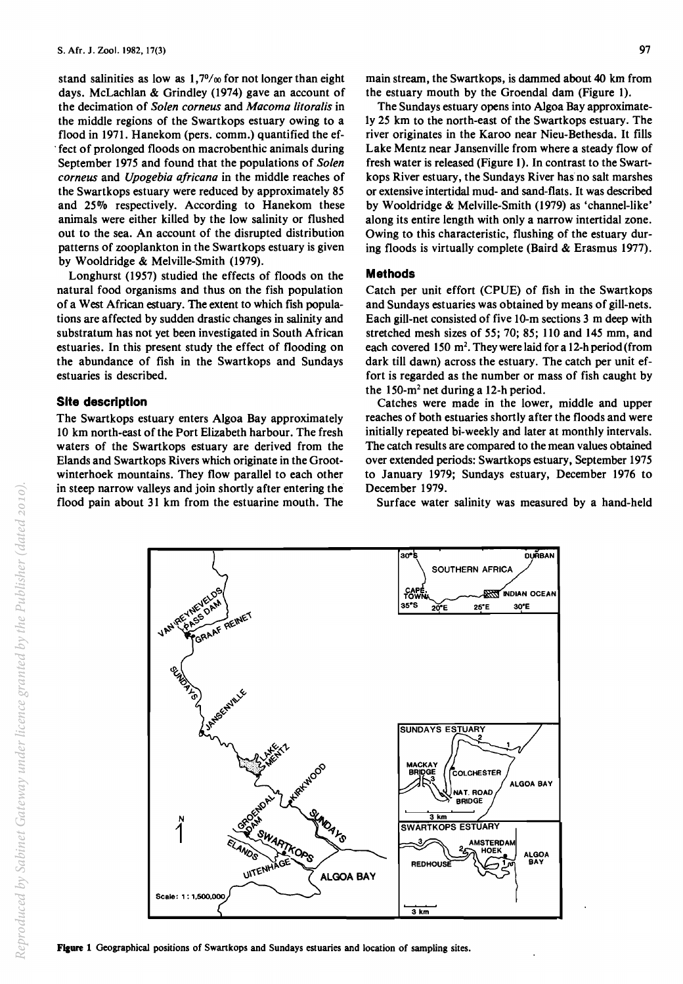stand salinities as low as  $1,70/\infty$  for not longer than eight days. McLachlan & Grindley (1974) gave an account of the decimation of *Solen corneus* and *Macoma litoralis* in the middle regions of the Swartkops estuary owing to a flood in 1971. Hanekom (pers. comm.) quantified the ef- . fect of prolonged floods on macrobenthic animals during September 1975 and found that the populations of *Solen corneus* and *Upogebia africana* in the middle reaches of the Swartkops estuary were reduced by approximately 85 and 25% respectively. According to Hanekom these animals were either killed by the low salinity or flushed out to the sea. An account of the disrupted distribution patterns of zooplankton in the Swartkops estuary is given by Wooldridge & Melville-Smith (1979).

Longhurst (1957) studied the effects of floods on the natural food organisms and thus on the fish population of a West African estuary. The extent to which fish populations are affected by sudden drastic changes in salinity and substratum has not yet been investigated in South African estuaries. In this present study the effect of flooding on the abundance of fish in the Swartkops and Sundays estuaries is described.

## **Site description**

The Swartkops estuary enters Algoa Bay approximately 10 km north-east of the Port Elizabeth harbour. The fresh waters of the Swartkops estuary are derived from the Elands and Swartkops Rivers which originate in the Grootwinterhoek mountains. They flow parallel to each other in steep narrow valleys and join shortly after entering the flood pain about 31 km from the estuarine mouth. The

> **VAN REVENE**VEL **PARTICULUS**

GRAAF

REINET

main stream, the Swartkops, is dammed about 40 km from the estuary mouth by the Groendal dam (Figure 1).

The Sundays estuary opens into Algoa Bay approximately 25 km to the north-east of the Swartkops estuary. The river originates in the Karoo near Nieu-Bethesda. It fills Lake Mentz near Jansenville from where a steady flow of fresh water is released (Figure 1). In contrast to the Swartkops River estuary, the Sundays River has no salt marshes or extensive intertidal mud- and sand-flats. It was described by Wooldridge & Melville-Smith (1979) as 'channel-like' along its entire length with only a narrow intertidal zone. Owing to this characteristic, flushing of the estuary during floods is virtually complete (Baird & Erasmus 1977).

# **Methods**

Catch per unit effort (CPUE) of fish in the Swartkops and Sundays estuaries was obtained by means of gill-nets. Each gill-net consisted of five lO-m sections 3 m deep with stretched mesh sizes of 55; 70; 85; 110 and 145 mm, and each covered 150 m<sup>2</sup>. They were laid for a 12-h period (from dark till dawn) across the estuary. The catch per unit effort is regarded as the number or mass of fish caught by the 150- $m<sup>2</sup>$  net during a 12-h period.

Catches were made in the lower, middle and upper reaches of both estuaries shortly after the floods and were initially repeated bi-weekly and later at monthly intervals. The catch results are compared to the mean values obtained over extended periods: Swartkops estuary, September 1975 to January 1979; Sundays estuary, December 1976 to December 1979.

Surface water salinity was measured by a hand-held

3O'E

ALGOA BAY

ALGOA BAY

30<sup>-</sup>S DURBAN SOUTHERN AFRICA

.f~!;l INDIAN OCEAN

35'S 20"E 25'E

SUNDAYS ESTUARY

**MACKAY**<br>BRIDGE

SWARTKOPS ESTUARY

 $3 \text{ km}$ 

REDHOUSE

COLCHESTER

NAT ROAD **BRIDGE** 

> **AMSTERDAM HOEK**



**UITENHA** 

SWARTHORS

GÉ

MO<sub>A J-50</sub>

**ALGOA BAY** 

97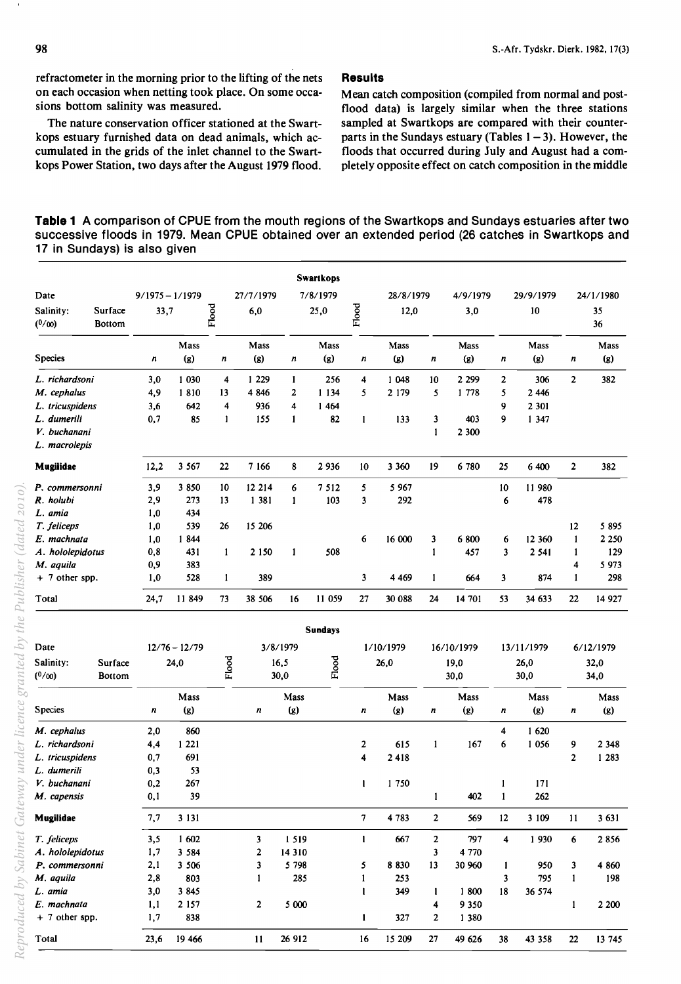refractometer in the morning prior to the lifting of the nets on each occasion when netting took place. On some occasions bottom salinity was measured.

The nature conservation officer stationed at the Swartkops estuary furnished data on dead animals, which accumulated in the grids of the inlet channel to the Swartkops Power Station, two days after the August 1979 flood.

# **Results**

Mean catch composition (compiled from normal and postflood data) is largely similar when the three stations sampled at Swartkops are compared with their counterparts in the Sundays estuary (Tables  $1 - 3$ ). However, the floods that occurred during July and August had a completely opposite effect on catch composition in the middle

| Table 1 A comparison of CPUE from the mouth regions of the Swartkops and Sundays estuaries after two |  |
|------------------------------------------------------------------------------------------------------|--|
| successive floods in 1979. Mean CPUE obtained over an extended period (26 catches in Swartkops and   |  |
| 17 in Sundays) is also given                                                                         |  |

|                          |                          |                  |                   |              |           |                  | <b>Swartkops</b> |                    |           |                  |             |                         |            |                  |           |
|--------------------------|--------------------------|------------------|-------------------|--------------|-----------|------------------|------------------|--------------------|-----------|------------------|-------------|-------------------------|------------|------------------|-----------|
| Date                     |                          |                  | $9/1975 - 1/1979$ |              | 27/7/1979 |                  | 7/8/1979         |                    | 28/8/1979 |                  | 4/9/1979    |                         | 29/9/1979  |                  | 24/1/1980 |
| Salinity:<br>$(^{0}/00)$ | Surface<br><b>Bottom</b> | 33,7             |                   | Flood        | 6,0       |                  | 25,0             | Flood              | 12,0      |                  | 3,0         |                         | 10         |                  | 35<br>36  |
|                          |                          |                  | Mass              |              | Mass      |                  | Mass             |                    | Mass      |                  | <b>Mass</b> |                         | Mass       |                  | Mass      |
| <b>Species</b>           |                          | $\boldsymbol{n}$ | (g)               | n            | (2)       | $\boldsymbol{n}$ | (g)              | n                  | (g)       | $\boldsymbol{n}$ | (8)         | n                       | (g)        | $\boldsymbol{n}$ | (g)       |
| L. richardsoni           |                          | 3,0              | 1 0 3 0           | 4            | 1 2 2 9   | $\mathbf{1}$     | 256              | $\overline{\bf 4}$ | 1 048     | 10               | 2 2 9 9     | $\overline{2}$          | 306        | $\overline{2}$   | 382       |
| M. cephalus              |                          | 4,9              | 1810              | 13           | 4 8 4 6   | $\overline{2}$   | 1 1 3 4          | 5                  | 2 1 7 9   | 5                | 1 778       | 5                       | 2 4 4 6    |                  |           |
| L. tricuspidens          |                          | 3,6              | 642               | 4            | 936       | 4                | 1464             |                    |           |                  |             | 9                       | 2 3 0 1    |                  |           |
| L. dumerili              |                          | 0,7              | 85                | $\mathbf{I}$ | 155       | $\mathbf{1}$     | 82               | $\mathbf{1}$       | 133       | 3                | 403         | 9                       | 1 3 4 7    |                  |           |
| V. buchanani             |                          |                  |                   |              |           |                  |                  |                    |           | $\mathbf{1}$     | 2 300       |                         |            |                  |           |
| L. macrolepis            |                          |                  |                   |              |           |                  |                  |                    |           |                  |             |                         |            |                  |           |
| Mugilidae                |                          | 12,2             | 3 5 6 7           | 22           | 7 1 6 6   | 8                | 2 9 3 6          | 10                 | 3 3 6 0   | 19               | 6780        | 25                      | 6 400      | $\overline{2}$   | 382       |
| P. commersonni           |                          | 3,9              | 3 8 5 0           | 10           | 12 214    | 6                | 7 5 1 2          | 5                  | 5 9 6 7   |                  |             | 10                      | 11 980     |                  |           |
| R. holubi                |                          | 2,9              | 273               | 13           | 1 3 8 1   | $\mathbf{1}$     | 103              | 3                  | 292       |                  |             | 6                       | 478        |                  |           |
| L. amia                  |                          | 1,0              | 434               |              |           |                  |                  |                    |           |                  |             |                         |            |                  |           |
| T. feliceps              |                          | 1,0              | 539               | 26           | 15 20 6   |                  |                  |                    |           |                  |             |                         |            | 12               | 5 8 9 5   |
| E. machnata              |                          | 1,0              | 1844              |              |           |                  |                  | 6                  | 16 000    | 3                | 6 800       | 6                       | 12 360     | 1                | 2 2 5 0   |
| A. hololepidotus         |                          | 0,8              | 431               | $\mathbf{1}$ | 2 1 5 0   | 1                | 508              |                    |           | $\mathbf{1}$     | 457         | $\overline{\mathbf{3}}$ | 2 5 4 1    | 1                | 129       |
| M. aquila                |                          | 0,9              | 383               |              |           |                  |                  |                    |           |                  |             |                         |            | 4                | 5 9 7 3   |
| $+ 7$ other spp.         |                          | 1,0              | 528               | $\mathbf{1}$ | 389       |                  |                  | 3                  | 4 4 6 9   | $\mathbf{1}$     | 664         | 3                       | 874        | 1                | 298       |
| Total                    |                          | 24,7             | 11849             | 73           | 38 506    | 16               | 11 059           | 27                 | 30 088    | 24               | 14 701      | 53                      | 34 633     | 22               | 14 9 27   |
|                          |                          |                  |                   |              |           |                  | <b>Sundays</b>   |                    |           |                  |             |                         |            |                  |           |
| Date                     |                          |                  | $12/76 - 12/79$   |              |           | 3/8/1979         |                  |                    | 1/10/1979 |                  | 16/10/1979  |                         | 13/11/1979 |                  | 6/12/1979 |
| Salinity:                | Surface                  |                  | 24,0              | Flood        |           | 16,5             | Flood            |                    | 26,0      |                  | 19,0        |                         | 26,0       |                  | 32,0      |
| (0/00)                   | <b>Bottom</b>            |                  |                   |              |           | 30,0             |                  |                    |           |                  | 30,0        |                         | 30,0       |                  | 34,0      |
|                          |                          |                  | Mass              |              |           | Mass             |                  |                    | Mass      |                  | Mass        |                         | Mass       |                  | Mass      |
| <b>Species</b>           |                          | n                | (g)               |              | n         | (g)              |                  | n                  | (g)       | n                | (g)         | n                       | $(g)$      | n                | $(g)$     |
| M. cephalus              |                          | 2,0              | 860               |              |           |                  |                  |                    |           |                  |             | 4                       | 1620       |                  |           |
| L. richardsoni           |                          | 4,4              | 1 2 2 1           |              |           |                  |                  | $\mathbf{2}$       | 615       | 1                | 167         | 6                       | 1 0 5 6    | 9                | 2 3 4 8   |
| L. tricuspidens          |                          | 0.7              | 691               |              |           |                  |                  | 4                  | 2418      |                  |             |                         |            | $\overline{2}$   | 1 2 8 3   |
| L. dumerili              |                          | 0,3              | 53                |              |           |                  |                  |                    |           |                  |             |                         |            |                  |           |
| V. buchanani             |                          | 0,2              | 267               |              |           |                  |                  | $\mathbf{1}$       | 1750      |                  |             | 1                       | 171        |                  |           |
| M. capensis              |                          | 0,1              | 39                |              |           |                  |                  |                    |           | 1                | 402         | $\mathbf{1}$            | 262        |                  |           |

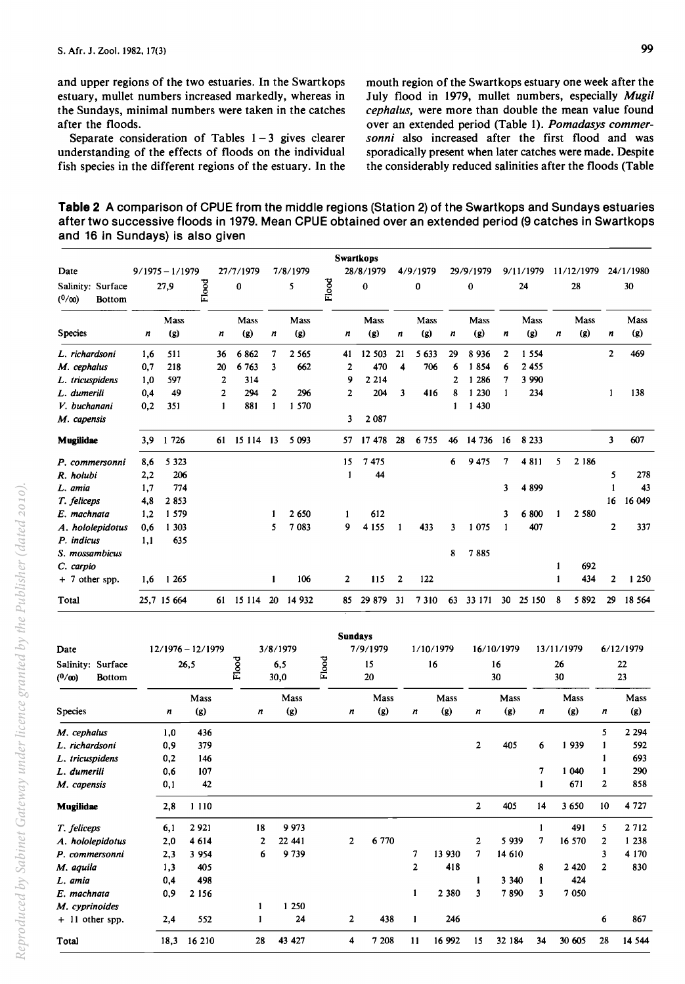and upper regions of the two estuaries. In the Swartkops estuary, mullet numbers increased markedly, whereas in the Sundays, minimal numbers were taken in the catches after the floods.

Separate consideration of Tables  $1 - 3$  gives clearer understanding of the effects of floods on the individual fish species in the different regions of the estuary. In the mouth region of the Swartkops estuary one week after the July flood in 1979, mullet numbers, especially *Mugi/ cephalus,* were more than double the mean value found over an extended period (Table 1). *Pomadasys commer*sonni also increased after the first flood and was sporadically present when later catches were made. Despite the considerably reduced salinities after the floods (Table

**Table 2 A** comparison of CPUE from the middle regions (Station 2) of the Swartkops and Sundays estuaries after two successive floods in 1979. Mean CPUE obtained over an extended period (9 catches in Swartkops and 16 in Sundays) is also given

| Date                                               |     | $9/1975 - 1/1979$   |             |                  | 27/7/1979    |                  | 7/8/1979    |       |                         | <b>Swartkops</b><br>28/8/1979 |    | 4/9/1979       |         | 29/9/1979                |                  | 9/11/1979    |                  | 11/12/1979  |                         | 24/1/1980   |
|----------------------------------------------------|-----|---------------------|-------------|------------------|--------------|------------------|-------------|-------|-------------------------|-------------------------------|----|----------------|---------|--------------------------|------------------|--------------|------------------|-------------|-------------------------|-------------|
| Salinity: Surface<br>(0/00)<br><b>Bottom</b>       |     | 27,9                | Flood       |                  | 0            |                  | 5           | Flood |                         | 0                             |    | 0              |         | $\bf{0}$                 |                  | 24           |                  | 28          |                         | 30          |
| <b>Species</b>                                     | n   | Mass<br>(g)         |             | $\boldsymbol{n}$ | Mass<br>(g)  | $\boldsymbol{n}$ | Mass<br>(g) |       | n                       | Mass<br>(g)                   | n  | Mass<br>(g)    | n       | Mass<br>(g)              | $\boldsymbol{n}$ | Mass<br>(g)  | $\boldsymbol{n}$ | Mass<br>(g) | $\boldsymbol{n}$        | Mass<br>(g) |
| L. richardsoni                                     | 1.6 | 511                 |             | 36               | 6862         | 7                | 2 5 6 5     |       | 41                      | 12 503                        | 21 | 5 633          | 29      | 8936                     | $\overline{2}$   | 1 5 5 4      |                  |             | $\overline{2}$          | 469         |
| M. cephalus                                        | 0,7 | 218                 |             | 20               | 6 7 6 3      | $\mathbf{3}$     | 662         |       | $\overline{\mathbf{2}}$ | 470                           | 4  | 706            | 6       | 1854                     | 6                | 2 4 5 5      |                  |             |                         |             |
| L. tricuspidens                                    | 1,0 | 597                 |             | 2                | 314          |                  |             |       | 9                       | 2 2 1 4                       |    |                | 2       | 1 2 8 6                  | 7                | 3 9 9 0      |                  |             |                         |             |
| L. dumerili                                        | 0,4 | 49                  |             | 2                | 294          | 2                | 296         |       | $\overline{2}$          | 204                           | 3  | 416            | 8       | 1 2 3 0                  | $\mathbf{1}$     | 234          |                  |             | 1                       | 138         |
| V. buchanani                                       | 0,2 | 351                 |             | 1                | 881          | 1                | 1 570       |       |                         |                               |    |                | 1       | 1 430                    |                  |              |                  |             |                         |             |
| M. capensis                                        |     |                     |             |                  |              |                  |             |       | 3                       | 2 0 8 7                       |    |                |         |                          |                  |              |                  |             |                         |             |
| Mugilidae                                          | 3,9 | 1 7 2 6             |             |                  | 61 15 114 13 |                  | 5 0 9 3     |       | 57                      | 17 478                        | 28 | 6755           | 46      | 14 736                   | - 16             | 8 2 3 3      |                  |             | 3                       | 607         |
| P. commersonni                                     | 8,6 | 5 3 2 3             |             |                  |              |                  |             |       | 15                      | 7475                          |    |                | 6       | 9 4 7 5                  | 7                | 4811         | 5                | 2 18 6      |                         |             |
| R. holubi                                          | 2,2 | 206                 |             |                  |              |                  |             |       | $\mathbf{1}$            | 44                            |    |                |         |                          |                  |              |                  |             | 5                       | 278         |
| L. amia                                            | 1,7 | 774                 |             |                  |              |                  |             |       |                         |                               |    |                |         |                          | 3                | 4899         |                  |             | 1                       | 43          |
| T. feliceps                                        | 4,8 | 2853                |             |                  |              |                  |             |       |                         |                               |    |                |         |                          |                  |              |                  |             | 16                      | 16 049      |
| E. machnata                                        | 1,2 | 1 579               |             |                  |              | $\mathbf{1}$     | 2 650       |       | $\mathbf{1}$            | 612                           |    |                |         |                          | 3                | 6 800        |                  | 2 5 8 0     |                         |             |
| A. hololepidotus                                   | 0,6 | 1 303               |             |                  |              | 5                | 7 083       |       | 9                       | 4 1 5 5                       | 1  | 433            | 3       | 1075                     | 1                | 407          |                  |             | 2                       | 337         |
| P. indicus                                         | 1,1 | 635                 |             |                  |              |                  |             |       |                         |                               |    |                |         |                          |                  |              |                  |             |                         |             |
| S. mossambicus                                     |     |                     |             |                  |              |                  |             |       |                         |                               |    |                | 8       | 7885                     |                  |              |                  |             |                         |             |
| C. carpio                                          |     |                     |             |                  |              |                  |             |       |                         |                               |    |                |         |                          |                  |              | 1                | 692         |                         |             |
| $+ 7$ other spp.                                   | 1,6 | 1 2 6 5             |             |                  |              | $\mathbf{1}$     | 106         |       | 2                       | 115                           | 2  | 122            |         |                          |                  |              | 1                | 434         | 2                       | 1 2 5 0     |
| Total                                              |     | 25,7 15 664         |             |                  | 61 15 114    |                  | 20 14 932   |       | 85                      | 29 879                        | 31 | 7310           |         | 63 33 171                |                  | 30 25 150    | 8                | 5 8 9 2     | 29                      | 18 5 64     |
|                                                    |     |                     |             |                  |              |                  |             |       |                         |                               |    |                |         |                          |                  |              |                  |             |                         |             |
|                                                    |     |                     |             |                  |              |                  |             |       |                         | <b>Sundays</b>                |    |                |         |                          |                  |              |                  |             |                         |             |
| Date                                               |     | $12/1976 - 12/1979$ |             |                  |              | 3/8/1979         |             |       |                         | 7/9/1979                      |    | 1/10/1979      |         | 16/10/1979               |                  |              |                  | 13/11/1979  |                         | 6/12/1979   |
| Salinity: Surface<br>$(0/\infty)$<br><b>Bottom</b> |     |                     | 26,5        |                  | Flood        | 6,5<br>30,0      |             | Flood |                         | 15<br>20                      |    | 16             |         |                          | 16<br>30         |              | 26<br>30         |             |                         | 22<br>23    |
|                                                    |     |                     | Mass        |                  |              |                  | Mass        |       |                         | Mass                          |    |                | Mass    |                          | Mass             |              |                  | Mass        |                         | Mass        |
| <b>Species</b>                                     |     | n                   | (g)         |                  | n            |                  | (g)         |       | n                       | (g)                           |    | n              | (g)     | n                        | (g)              | n            |                  | (g)         | n                       | (g)         |
| M. cephalus                                        |     | 1,0                 | 436         |                  |              |                  |             |       |                         |                               |    |                |         |                          |                  |              |                  |             | 5                       | 2 2 9 4     |
| L. richardsoni                                     |     | 0,9                 | 379         |                  |              |                  |             |       |                         |                               |    |                |         | $\overline{\mathbf{c}}$  | 405              | 6            |                  | 1939        | $\mathbf{1}$            | 592         |
| L. tricuspidens                                    |     | 0,2                 | 146         |                  |              |                  |             |       |                         |                               |    |                |         |                          |                  |              |                  |             | $\mathbf{1}$            | 693         |
| L. dumerili                                        |     | 0.6                 | 107         |                  |              |                  |             |       |                         |                               |    |                |         |                          |                  | 7            |                  | 1 040       | 1                       | 290         |
| M. capensis                                        |     | 0,1                 | 42          |                  |              |                  |             |       |                         |                               |    |                |         |                          |                  | $\mathbf{1}$ |                  | 671         | $\overline{\mathbf{z}}$ | 858         |
| <b>Mugilidae</b>                                   |     | 2,8                 | 1 1 1 0     |                  |              |                  |             |       |                         |                               |    |                |         | $\mathbf{2}$             | 405              | 14           |                  | 3 6 5 0     | 10                      | 4 7 2 7     |
| T. feliceps                                        |     | 6,1                 | 2921        |                  | 18           |                  | 9 9 7 3     |       |                         |                               |    |                |         |                          |                  | $\mathbf{1}$ |                  | 491         | 5                       | 2 7 1 2     |
| A. hololepidotus                                   |     | 2,0                 | 4 6 1 4     |                  | 2            |                  | 22 441      |       | 2                       | 6 770                         |    |                |         | $\overline{2}$           | 5 9 3 9          | 7            |                  | 16 570      | 2                       | 1 2 3 8     |
| P. commersonni                                     |     | 2,3                 | 3 9 5 4     |                  | 6            |                  | 9739        |       |                         |                               |    | 7              | 13 930  | $\overline{\phantom{a}}$ | 14 610           |              |                  |             | 3                       | 4 170       |
| M. aguila                                          |     | 1,3                 | 405         |                  |              |                  |             |       |                         |                               |    | $\overline{2}$ | 418     |                          |                  | 8            |                  | 2 4 2 0     | $\overline{2}$          | 830         |
| L. amia                                            |     | 0,4                 | 498         |                  |              |                  |             |       |                         |                               |    |                |         | $\mathbf{1}$             | 3 3 4 0          | 1            |                  | 424         |                         |             |
| E. machnata                                        |     | 0,9                 | 2 1 5 6     |                  |              |                  |             |       |                         |                               |    | $\mathbf{1}$   | 2 3 8 0 | 3                        | 7890             | 3            |                  | 7 0 5 0     |                         |             |
| M. cyprinoides                                     |     |                     |             |                  | 1            |                  | 1 2 5 0     |       |                         |                               |    |                |         |                          |                  |              |                  |             |                         |             |
| + 11 other spp.                                    |     | 2,4                 | 552         |                  | 1            |                  | 24          |       | $\mathbf{2}$            | 438                           |    | $\mathbf{1}$   | 246     |                          |                  |              |                  |             | 6                       | 867         |
| Total                                              |     |                     | 18,3 16 210 |                  | 28           |                  | 43 427      |       | 4                       | 7 208                         |    | 11             | 16 992  | 15                       | 32 184           | 34           |                  | 30 605      | 28                      | 14 544      |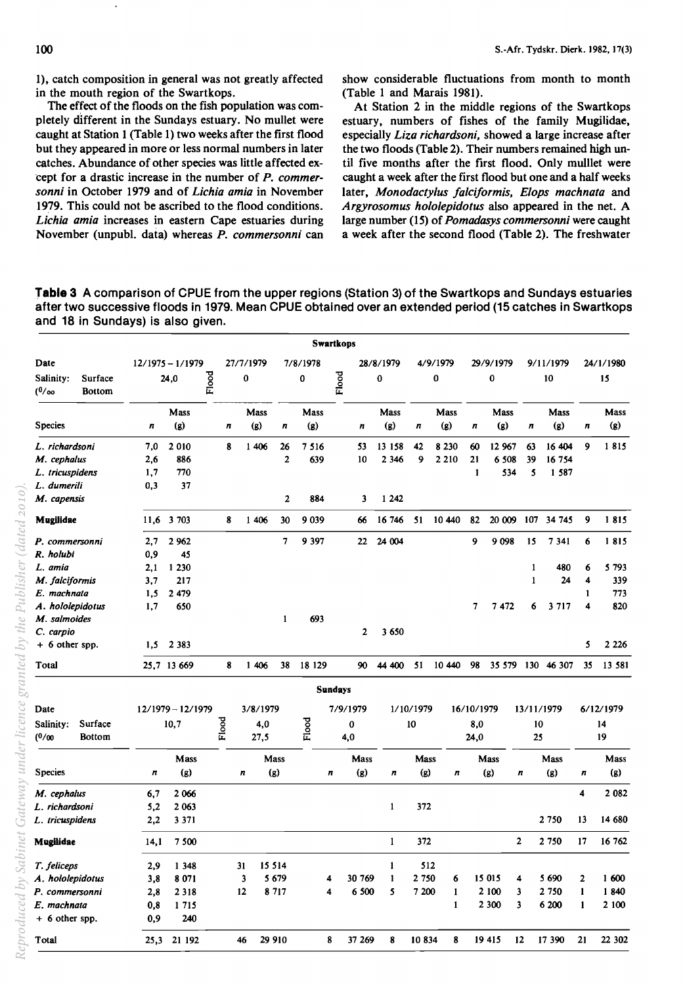1), catch composition in general was not greatly affected in the mouth region of the Swartkops.

The effect of the floods on the fish population was completely different in the Sundays estuary. No mullet were caught at Station 1 (Table 1) two weeks after the first flood but they appeared in more or less normal numbers in later catches. Abundance of other species was little affected ex- 'cept for a drastic increase in the number of *P. commersonni* in October 1979 and of *Lichia amia* in November 1979. This could not be ascribed to the flood conditions. *Lichia amia* increases in eastern Cape estuaries during November (unpubl. data) whereas *P. commersonni* can show considerable fluctuations from month to month (Table 1 and Marais 1981).

At Station 2 in the middle regions of the Swartkops estuary, numbers of fishes of the family Mugilidae, especially *Liza richardsoni,* showed a large increase after the two floods (Table 2). Their numbers remained high until five months after the first flood. Only mulllet were caught a week after the first flood but one and a half weeks later, *Monodactylus falciformis, Elops machnata* and *Argyrosomus hololepidotus* also appeared in the net. A large number (15) of *Pomadasys commersonni* were caught a week after the second flood (Table 2). The freshwater

**Table 3 A** comparison of CPUE from the upper regions (Station 3) of the Swartkops and Sundays estuaries after two successive floods in 1979. Mean CPUE obtained over an extended period (15 catches in Swartkops and 18 in Sundays) is also given.

|                                                         |                                 |                                                                                                                                        |                      |                                               |                                                                 |                   |                       |                                                                     |                              |             |                                                                             |                  |                                                                           |                                                           |                                                                                      | 24/1/1980                                                                                                                                   |
|---------------------------------------------------------|---------------------------------|----------------------------------------------------------------------------------------------------------------------------------------|----------------------|-----------------------------------------------|-----------------------------------------------------------------|-------------------|-----------------------|---------------------------------------------------------------------|------------------------------|-------------|-----------------------------------------------------------------------------|------------------|---------------------------------------------------------------------------|-----------------------------------------------------------|--------------------------------------------------------------------------------------|---------------------------------------------------------------------------------------------------------------------------------------------|
|                                                         | Flood                           |                                                                                                                                        | 0                    |                                               | 0                                                               |                   |                       | 0                                                                   |                              | 0           |                                                                             | 0                |                                                                           | 10                                                        |                                                                                      | 15                                                                                                                                          |
|                                                         | Mass                            |                                                                                                                                        | Mass                 |                                               | Mass                                                            |                   |                       | <b>Mass</b>                                                         |                              | <b>Mass</b> |                                                                             | Mass             |                                                                           | Mass                                                      |                                                                                      | <b>Mass</b>                                                                                                                                 |
| n                                                       | (g)                             | $\boldsymbol{n}$                                                                                                                       | (g)                  | n                                             | (g)                                                             |                   | $\boldsymbol{n}$      | (g)                                                                 | n                            | (g)         | n                                                                           | (g)              | n                                                                         | (g)                                                       | n                                                                                    | (g)                                                                                                                                         |
| 7,0                                                     | 2010                            | 8                                                                                                                                      |                      | 26                                            | 7 516                                                           |                   | 53                    | 13 158                                                              | 42                           | 8 2 3 0     | 60                                                                          |                  | 63                                                                        |                                                           | 9                                                                                    | 1815                                                                                                                                        |
| 2,6                                                     | 886                             |                                                                                                                                        |                      | $\overline{2}$                                | 639                                                             |                   | 10                    | 2 3 4 6                                                             | 9                            | 2 2 1 0     | 21                                                                          |                  | 39                                                                        |                                                           |                                                                                      |                                                                                                                                             |
| 1,7                                                     | 770                             |                                                                                                                                        |                      |                                               |                                                                 |                   |                       |                                                                     |                              |             | $\mathbf{1}$                                                                |                  | 5                                                                         |                                                           |                                                                                      |                                                                                                                                             |
| 0,3                                                     | 37                              |                                                                                                                                        |                      |                                               |                                                                 |                   |                       |                                                                     |                              |             |                                                                             |                  |                                                                           |                                                           |                                                                                      |                                                                                                                                             |
|                                                         |                                 |                                                                                                                                        |                      | $\mathbf{2}$                                  | 884                                                             |                   | 3                     | 1 2 4 2                                                             |                              |             |                                                                             |                  |                                                                           |                                                           |                                                                                      |                                                                                                                                             |
|                                                         |                                 | 8                                                                                                                                      |                      | 30                                            | 9 0 3 9                                                         |                   | 66                    | 16 746                                                              | 51                           |             | 82                                                                          |                  | 107                                                                       |                                                           | 9                                                                                    | 1815                                                                                                                                        |
| 2,7                                                     | 2 9 6 2                         |                                                                                                                                        |                      | $\overline{7}$                                | 9 3 9 7                                                         |                   | 22                    | 24 004                                                              |                              |             | 9                                                                           | 9098             | 15                                                                        | 7341                                                      | 6                                                                                    | 1815                                                                                                                                        |
| 0,9                                                     | 45                              |                                                                                                                                        |                      |                                               |                                                                 |                   |                       |                                                                     |                              |             |                                                                             |                  |                                                                           |                                                           |                                                                                      |                                                                                                                                             |
| 2,1                                                     | 1 2 3 0                         |                                                                                                                                        |                      |                                               |                                                                 |                   |                       |                                                                     |                              |             |                                                                             |                  | $\mathbf{1}$                                                              | 480                                                       | 6                                                                                    | 5 7 9 3                                                                                                                                     |
| 3,7                                                     | 217                             |                                                                                                                                        |                      |                                               |                                                                 |                   |                       |                                                                     |                              |             |                                                                             |                  | $\mathbf{1}$                                                              | 24                                                        | 4                                                                                    | 339                                                                                                                                         |
|                                                         | 2 4 7 9                         |                                                                                                                                        |                      |                                               |                                                                 |                   |                       |                                                                     |                              |             |                                                                             |                  |                                                                           |                                                           | 1                                                                                    | 773                                                                                                                                         |
| 1,7                                                     | 650                             |                                                                                                                                        |                      |                                               |                                                                 |                   |                       |                                                                     |                              |             | 7                                                                           | 7472             | 6                                                                         | 3 7 1 7                                                   | 4                                                                                    | 820                                                                                                                                         |
|                                                         |                                 |                                                                                                                                        |                      | 1                                             | 693                                                             |                   |                       |                                                                     |                              |             |                                                                             |                  |                                                                           |                                                           |                                                                                      |                                                                                                                                             |
|                                                         |                                 |                                                                                                                                        |                      |                                               |                                                                 |                   | 2                     | 3 650                                                               |                              |             |                                                                             |                  |                                                                           |                                                           |                                                                                      |                                                                                                                                             |
|                                                         |                                 |                                                                                                                                        |                      |                                               |                                                                 |                   |                       |                                                                     |                              |             |                                                                             |                  |                                                                           |                                                           | 5                                                                                    | 2 2 2 6                                                                                                                                     |
|                                                         |                                 | 8                                                                                                                                      |                      | 38                                            |                                                                 |                   | 90                    | 44 400                                                              | 51                           |             | 98                                                                          |                  |                                                                           |                                                           | 35                                                                                   | 13 581                                                                                                                                      |
|                                                         |                                 |                                                                                                                                        |                      |                                               |                                                                 |                   |                       |                                                                     |                              |             |                                                                             |                  |                                                                           |                                                           |                                                                                      |                                                                                                                                             |
|                                                         |                                 |                                                                                                                                        |                      |                                               |                                                                 |                   |                       |                                                                     |                              |             |                                                                             |                  |                                                                           |                                                           |                                                                                      | 6/12/1979                                                                                                                                   |
|                                                         |                                 |                                                                                                                                        |                      |                                               |                                                                 |                   |                       |                                                                     |                              |             |                                                                             |                  |                                                                           |                                                           |                                                                                      | 14                                                                                                                                          |
| Surface<br>Salinity:<br>27,5<br>(0/00)<br><b>Bottom</b> |                                 |                                                                                                                                        |                      | 4,0                                           |                                                                 |                   | 24,0                  |                                                                     |                              |             | 25                                                                          |                  |                                                                           | 19                                                        |                                                                                      |                                                                                                                                             |
|                                                         | Mass                            |                                                                                                                                        |                      |                                               |                                                                 |                   | Mass                  |                                                                     |                              |             |                                                                             |                  |                                                                           |                                                           |                                                                                      | Mass                                                                                                                                        |
| n                                                       | (g)                             |                                                                                                                                        | n                    |                                               |                                                                 |                   | (g)                   | $\boldsymbol{n}$                                                    |                              | n           |                                                                             |                  |                                                                           | (g)                                                       | $\boldsymbol{n}$                                                                     | (g)                                                                                                                                         |
| 6,7                                                     | 2 0 6 6                         |                                                                                                                                        |                      |                                               |                                                                 |                   |                       |                                                                     |                              |             |                                                                             |                  |                                                                           |                                                           | $\overline{\mathbf{4}}$                                                              | 2 0 8 2                                                                                                                                     |
| 5,2                                                     | 2 0 63                          |                                                                                                                                        |                      |                                               |                                                                 |                   |                       | $\mathbf{1}$                                                        |                              |             |                                                                             |                  |                                                                           |                                                           |                                                                                      |                                                                                                                                             |
| 2,2                                                     | 3 3 7 1                         |                                                                                                                                        |                      |                                               |                                                                 |                   |                       |                                                                     |                              |             |                                                                             |                  |                                                                           |                                                           | 13                                                                                   | 14 680                                                                                                                                      |
|                                                         | 7500                            |                                                                                                                                        |                      |                                               |                                                                 |                   |                       | 1                                                                   |                              |             |                                                                             |                  |                                                                           |                                                           | 17                                                                                   | 16 762                                                                                                                                      |
|                                                         |                                 |                                                                                                                                        |                      |                                               |                                                                 |                   |                       | 1                                                                   |                              |             |                                                                             |                  |                                                                           |                                                           |                                                                                      |                                                                                                                                             |
|                                                         | 8 0 7 1                         |                                                                                                                                        | 3                    |                                               |                                                                 |                   |                       | 1                                                                   |                              | 6           |                                                                             |                  |                                                                           |                                                           | 2                                                                                    | 1600                                                                                                                                        |
|                                                         |                                 |                                                                                                                                        | 12                   |                                               |                                                                 |                   |                       | 5                                                                   |                              | 1           |                                                                             |                  |                                                                           |                                                           | $\mathbf{1}$                                                                         | 1840                                                                                                                                        |
|                                                         |                                 |                                                                                                                                        |                      |                                               |                                                                 |                   |                       |                                                                     |                              | 1           |                                                                             |                  |                                                                           |                                                           | 1                                                                                    | 2 100                                                                                                                                       |
| 0,9                                                     | 240                             |                                                                                                                                        |                      |                                               |                                                                 |                   |                       |                                                                     |                              |             |                                                                             |                  |                                                                           |                                                           |                                                                                      |                                                                                                                                             |
|                                                         |                                 |                                                                                                                                        | 46                   |                                               |                                                                 |                   |                       |                                                                     |                              |             |                                                                             |                  |                                                                           |                                                           |                                                                                      | 22 302                                                                                                                                      |
|                                                         | 1,5<br>2,9<br>3,8<br>2,8<br>0,8 | $12/1975 - 1/1979$<br>24,0<br>11,6 3 703<br>1,5 2 383<br>25,7 13 669<br>$12/1979 - 12/1979$<br>10,7<br>14,1<br>1348<br>2 3 1 8<br>1715 | Flood<br>25,3 21 192 | 27/7/1979<br>1 40 6<br>1 40 6<br>1 40 6<br>31 | 3/8/1979<br>4,0<br>Mass<br>(g)<br>15 5 14<br>5 6 7 9<br>8 7 1 7 | 7/8/1978<br>Flood | 18 129<br>n<br>4<br>4 | <b>Swartkops</b><br>Flood<br><b>Sundays</b><br>7/9/1979<br>$\bf{0}$ | 28/8/1979<br>30 769<br>6 500 | 10          | 4/9/1979<br>1/10/1979<br>Mass<br>(g)<br>372<br>372<br>512<br>2 750<br>7 200 | 10 440<br>10 440 | 29/9/1979<br>16/10/1979<br>8,0<br>Mass<br>(g)<br>15 015<br>2 100<br>2 300 | 12 967<br>6 508<br>534<br>20 009<br>n<br>2<br>4<br>3<br>3 | 9/11/1979<br>13/11/1979<br>10<br>Mass<br>2 7 5 0<br>2 750<br>5 690<br>2 750<br>6 200 | 16 404<br>16 754<br>1 587<br>34 745<br>35 579 130 46 307<br>$\bf 8$<br>21<br>29 910<br>8<br>37 269<br>8<br>10 834<br>19 415<br>12<br>17 390 |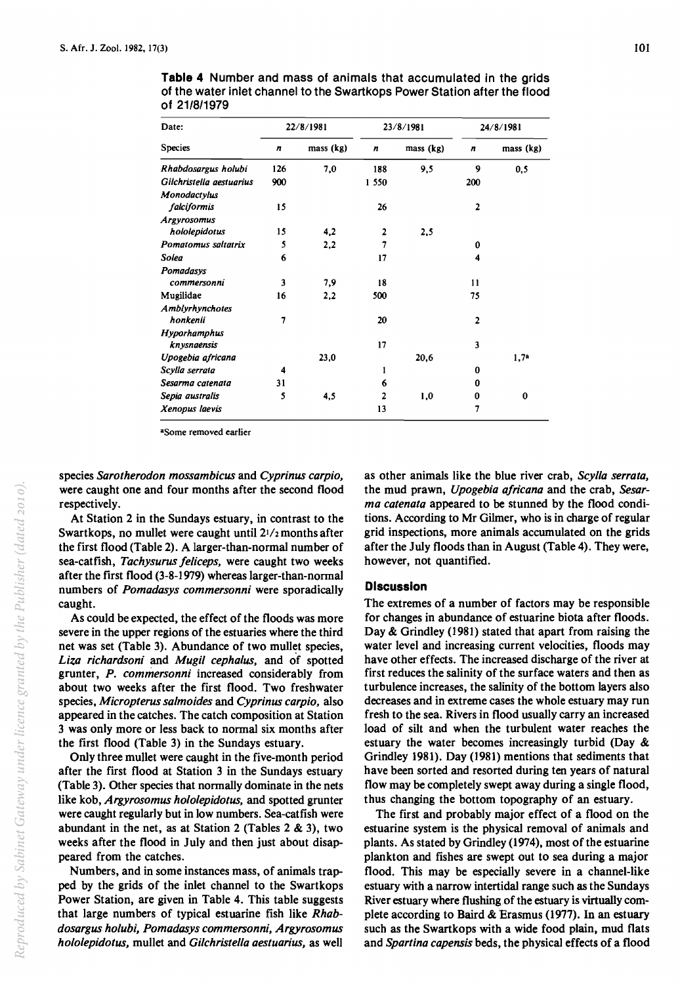| Date:                    |     | 22/8/1981 |                  | 23/8/1981 | 24/8/1981      |                  |  |  |
|--------------------------|-----|-----------|------------------|-----------|----------------|------------------|--|--|
| <b>Species</b>           | n   | mass (kg) | $\boldsymbol{n}$ | mass (kg) | n              | mass (kg)        |  |  |
| Rhabdosargus holubi      | 126 | 7,0       | 188              | 9.5       | 9              | 0.5              |  |  |
| Gilchristella aestuarius | 900 |           | 1 550            |           | 200            |                  |  |  |
| Monodactylus             |     |           |                  |           |                |                  |  |  |
| falciformis              | 15  |           | 26               |           | $\overline{2}$ |                  |  |  |
| <b>Argyrosomus</b>       |     |           |                  |           |                |                  |  |  |
| hololepidotus            | 15  | 4,2       | $\overline{2}$   | 2,5       |                |                  |  |  |
| Pomatomus saltatrix      | 5   | 2,2       | 7                |           | 0              |                  |  |  |
| Solea                    | 6   |           | 17               |           | 4              |                  |  |  |
| Pomadasys                |     |           |                  |           |                |                  |  |  |
| commersonni              | 3   | 7.9       | 18               |           | 11             |                  |  |  |
| Mugilidae                | 16  | 2,2       | 500              |           | 75             |                  |  |  |
| Amblyrhynchotes          |     |           |                  |           |                |                  |  |  |
| honkenii                 | 7   |           | 20               |           | $\overline{2}$ |                  |  |  |
| <b>Hyporhamphus</b>      |     |           |                  |           |                |                  |  |  |
| knysnaensis              |     |           | 17               |           | 3              |                  |  |  |
| Upogebia africana        |     | 23,0      |                  | 20,6      |                | 1,7 <sup>a</sup> |  |  |
| Scylla serrata           | 4   |           | 1                |           | 0              |                  |  |  |
| Sesarma catenata         | 31  |           | 6                |           | 0              |                  |  |  |
| Sepia australis          | 5   | 4,5       | 2                | 1,0       | 0              | $\bf{0}$         |  |  |
| Xenopus laevis           |     |           | 13               |           | 7              |                  |  |  |

**Table 4** Number and mass of animals that accumulated in the grids of the water inlet channel to the Swartkops Power Station after the flood of 21/8/1979

<sup>a</sup>Some removed earlier

species *Sarotherodon mossambicus* and *Cyprinus carpio,*  were caught one and four months after the second flood respectively.

At Station 2 in the Sundays estuary, in contrast to the Swartkops, no mullet were caught until  $21/z$  months after the first flood (Table 2). A larger-than-normal number of sea-catfish, *Tachysurus feliceps*, were caught two weeks after the first flood (3-8-1979) whereas larger-than-normal numbers of *Pomadasys commersonni* were sporadically caught.

As could be expected, the effect of the floods was more severe in the upper regions of the estuaries where the third net was set (Table 3). Abundance of two mullet species, *Liza richardsoni* and *Mugi/ cephalus,* and of spotted grunter, *P. commersonni* increased considerably from about two weeks after the first flood. Two freshwater species, *Micropterus salmoides* and *Cyprinus carpio,* also appeared in the catches. The catch composition at Station 3 was only more or less back to normal six months after the first flood (Table 3) in the Sundays estuary.

Only three mullet were caught in the five-month period after the first flood at Station 3 in the Sundays estuary (Table 3). Other species that normally dominate in the nets like kob, *Argyrosomus hololepidotus,* and spotted grunter were caught regularly but in low numbers. Sea-catfish were abundant in the net, as at Station 2 (Tables  $2 \& 3$ ), two weeks after the flood in July and then just about disappeared from the catches.

Numbers, and in some instances mass, of animals trapped by the grids of the inlet channel to the Swartkops Power Station, are given in Table 4. This table suggests that large numbers of typical estuarine fish like *Rhabdosargus holubi, Pomadasys commersonni, Argyrosomus hololepidotus,* mullet and *Gi/christella aestuarius,* as well as other animals like the blue river crab, *Scylla serrata,*  the mud prawn, *Upogebia africana* and the crab, Sesar*ma catenata* appeared to be stunned by the flood conditions. According to Mr Gilmer, who is in charge of regular grid inspections, more animals accumulated on the grids after the July floods than in August (Table 4). They were, however, not quantified.

# **Discussion**

The extremes of a number of factors may be responsible for changes in abundance of estuarine biota after floods. Day & Grindley (1981) stated that apart from raising the water level and increasing current velocities, floods may have other effects. The increased discharge of the river at first reduces the salinity of the surface waters and then as turbulence increases, the salinity of the bottom layers also decreases and in extreme cases the whole estuary may run fresh to the sea. Rivers in flood usually carry an increased load of silt and when the turbulent water reaches the estuary the water becomes increasingly turbid (Day & Grindley 1981). Day (1981) mentions that sediments that have been sorted and resorted during ten years of natural flow may be completely swept away during a single flood, thus changing the bottom topography of an estuary.

The first and probably major effect of a flood on the estuarine system is the physical removal of animals and plants. As stated by Grindley (1974), most of the estuarine plankton and fishes are swept out to sea during a major flood. This may be especially severe in a channel-like estuary with a narrow intertidal range such as the Sundays River estuary where flushing of the estuary is virtually complete according to Baird & Erasmus (1977). In an estuary such as the Swartkops with a wide food plain, mud flats and *Spartina capensis* beds, the physical effects of a flood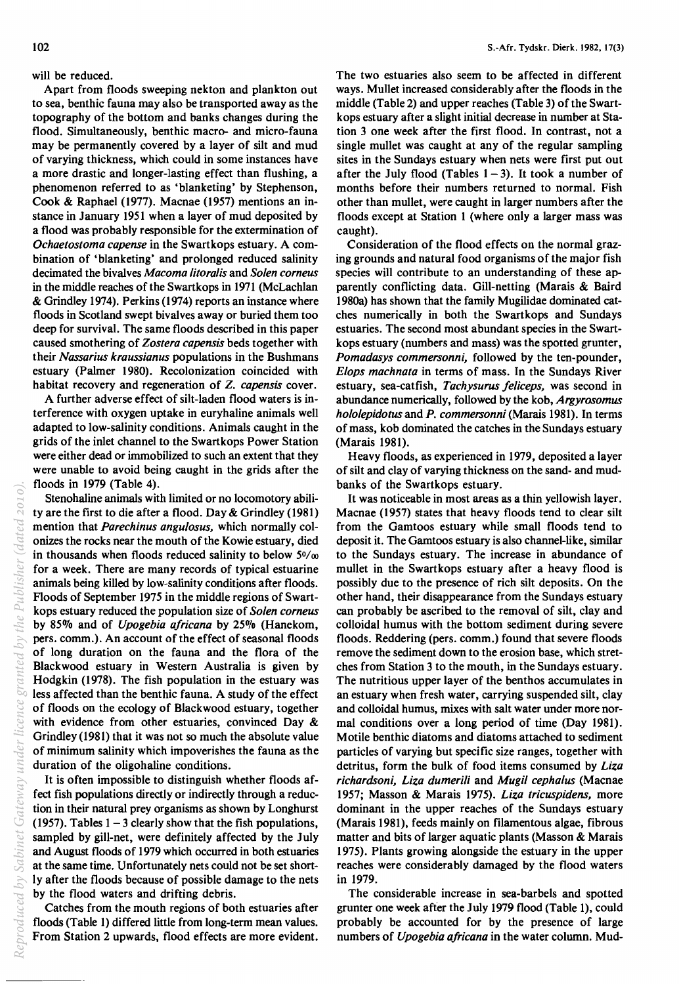Publisher (dated 2010)

will be reduced.

Apart from floods sweeping nekton and plankton out to sea, benthic fauna may also be transported away as the topography of the bottom and banks changes during the flood. Simultaneously, benthic macro- and micro-fauna may be permanently covered by a layer of silt and mud of varying thickness, which could in some instances have a more drastic and longer-lasting effect than flushing, a phenomenon referred to as 'blanketing' by Stephenson, Cook & Raphael (1977). Macnae (1957) mentions an instance in January 1951 when a layer of mud deposited by a flood was probably responsible for the extermination of *Ochaetostoma capense* in the Swartkops estuary. A combination of 'blanketing' and prolonged reduced salinity decimated the bivalves *Macoma litora/is* and *So/en corneus*  in the middle reaches of the Swartkops in 1971 (McLachlan & Grindley 1974). Perkins (1974) reports an instance where floods in Scotland swept bivalves away or buried them too deep for survival. The same floods described in this paper caused smothering of *Zostera capensis* beds together with their *Nassarius kraussianus* populations in the Bushmans estuary (Palmer 1980). Recolonization coincided with habitat recovery and regeneration of Z. *capensis* cover.

A further adverse effect of silt-laden flood waters is interference with oxygen uptake in euryhaline animals well adapted to low-salinity conditions. Animals caught in the grids of the inlet channel to the Swartkops Power Station were either dead or immobilized to such an extent that they were unable to avoid being caught in the grids after the floods in 1979 (Table 4).

Stenohaline animals with limited or no locomotory ability are the first to die after a flood. Day & Grindley (1981) mention that *Parechinus angu/osus,* which normally colonizes the rocks near the mouth of the Kowie estuary, died in thousands when floods reduced salinity to below  $50/\omega$ for a week. There are many records of typical estuarine animals being killed by low-salinity conditions after floods. Floods of September 1975 in the middle regions of Swartkops estuary reduced the population size of *So/en corneus*  by 85% and of *Upogebia ajricana* by *25a/o* (Hanekom, pers. comm.). An account of the effect of seasonal floods of long duration on the fauna and the flora of the Blackwood estuary in Western Australia is given by Hodgkin (1978). The fish population in the estuary was less affected than the benthic fauna. A study of the effect of floods on the ecology of Blackwood estuary, together with evidence from other estuaries, convinced Day & Grindley (1981) that it was not so much the absolute value of minimum salinity which impoverishes the fauna as the duration of the oligohaline conditions. *Reproduced by Sabinet Gateway under licence granted by the Publisher (dated 2010).*

It is often impossible to distinguish whether floods affect fish populations directly or indirectly through a reduction in their natural prey organisms as shown by Longhurst (1957). Tables  $1 - 3$  clearly show that the fish populations, sampled by gill-net, were definitely affected by the July and August floods of 1979 which occurred in both estuaries at the same time. Unfortunately nets could not be set shortly after the floods because of possible damage to the nets by the flood waters and drifting debris.

Catches from the mouth regions of both estuaries after floods (Table 1) differed little from long-term mean values. From Station 2 upwards, flood effects are more evident. The two estuaries also seem to be affected in different ways. Mullet increased considerably after the floods in the middle (Table 2) and upper reaches (Table 3) of the Swartkops estuary after a slight initial decrease in number at Station 3 one week after the first flood. In contrast, not a single mullet was caught at any of the regular sampling sites in the Sundays estuary when nets were first put out after the July flood (Tables  $1 - 3$ ). It took a number of months before their numbers returned to normal. Fish other than mullet, were caught in larger numbers after the floods except at Station I (where only a larger mass was caught).

Consideration of the flood effects on the normal grazing grounds and natural food organisms of the major fish species will contribute to an understanding of these apparently conflicting data. Gill-netting (Marais & Baird I 980a) has shown that the family Mugilidae dominated catches numerically in both the Swartkops and Sundays estuaries. The second most abundant species in the Swartkops estuary (numbers and mass) was the spotted grunter, *Pomadasys commersonni,* followed by the ten-pounder, *E/ops mach nata* in terms of mass. In the Sundays River estuary, sea-catfish, *Tachysurus jeliceps,* was second in abundance numerically, followed by the kob, *Argyrosomus h%/epidotusandP. commersonni(Marais* 1981). In terms of mass, kob dominated the catches in the Sundays estuary (Marais 1981).

Heavy floods, as experienced in 1979, deposited a layer of silt and clay of varying thickness on the sand- and mudbanks of the Swartkops estuary.

It was noticeable in most areas as a thin yellowish layer. Macnae (1957) states that heavy floods tend to clear silt from the Gamtoos estuary while small floods tend to deposit it. The Gamtoos estuary is also channel-like, similar to the Sundays estuary. The increase in abundance of mullet in the Swartkops estuary after a heavy flood is possibly due to the presence of rich silt deposits. On the other hand, their disappearance from the Sundays estuary can probably be ascribed to the removal of silt, clay and colloidal humus with the bottom sediment during severe floods. Reddering (pers. comm.) found that severe floods remove the sediment down to the erosion base, which stretches from Station 3 to the mouth, in the Sundays estuary. The nutritious upper layer of the benthos accumulates in an estuary when fresh water, carrying suspended silt, clay and colloidal humus, mixes with salt water under more normal conditions over a long period of time (Day 1981). Motile benthic diatoms and diatoms attached to sediment particles of varying but specific size ranges, together with detritus, form the bulk of food items consumed by *Liza richardsoni, Liza dumerili* and *Mugi/ cepha/us* (Macnae 1957; Masson & Marais 1975). *Liza tricuspidens,* more dominant in the upper reaches of the Sundays estuary (Marais 1981), feeds mainly on filamentous algae, fibrous matter and bits of larger aquatic plants (Masson & Marais 1975). Plants growing alongside the estuary in the upper reaches were considerably damaged by the flood waters in 1979.

The considerable increase in sea-barbels and spotted grunter one week after the July 1979 flood (Table I), could probably be accounted for by the presence of large numbers of *Upogebia ajricana* in the water column. Mud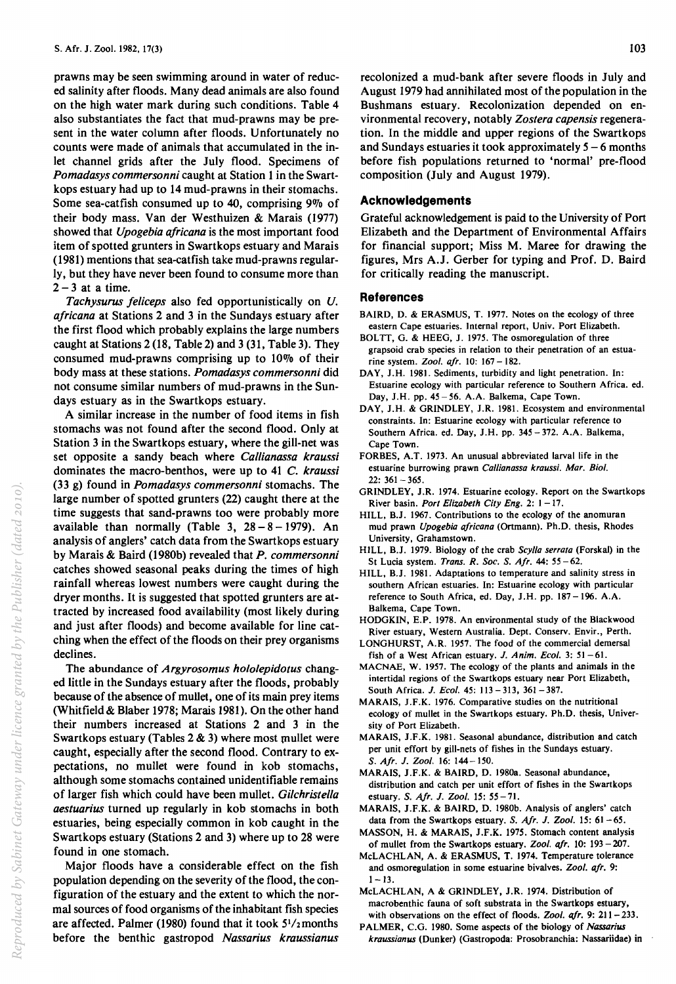prawns may be seen swimming around in water of reduced salinity after floods. Many dead animals are also found on the high water mark during such conditions. Table 4 also substantiates the fact that mud-prawns may be present in the water column after floods. Unfortunately no counts were made of animals that accumulated in the inlet channel grids after the July flood. Specimens of *Pomadasys commersonni* caught at Station 1 in the Swartkops estuary had up to 14 mud-prawns in their stomachs. Some sea-catfish consumed up to  $40$ , comprising  $9\%$  of their body mass. Van der Westhuizen & Marais (1977) showed that *Upogebia ajricana* is the most important food item of spotted grunters in Swartkops estuary and Marais (1981) mentions that sea-catfish take mud-prawns regularly, but they have never been found to consume more than  $2 - 3$  at a time.

*Tachysurus jeliceps* also fed opportunistically on *U. ajricana* at Stations 2 and 3 in the Sundays estuary after the first flood which probably explains the large numbers caught at Stations 2 (18, Table 2) and 3 (31, Table 3). They consumed mud-prawns comprising up to 10% of their body mass at these stations. *Pomadasys commersonni* did not consume similar numbers of mud-prawns in the Sundays estuary as in the Swartkops estuary.

A similar increase in the number of food items in fish stomachs was not found after the second flood. Only at Station 3 in the Swartkops estuary, where the gill-net was set opposite a sandy beach where *Callianassa kraussi*  dominates the macro-benthos, were up to 41 C. *kraussi*  (33 g) found in *Pomadasys commersonni* stomachs. The large number of spotted grunters (22) caught there at the time suggests that sand-prawns too were probably more available than normally (Table 3,  $28 - 8 - 1979$ ). An analysis of anglers' catch data from the Swartkops estuary by Marais & Baird (1980b) revealed that *P. commersonni*  catches showed seasonal peaks during the times of high rainfall whereas lowest numbers were caught during the dryer months. It is suggested that spotted grunters are attracted by increased food availability (most likely during and just after floods) and become available for line catching when the effect of the floods on their prey organisms declines.

The abundance of *Argyrosomus hololepidotus* changed little in the Sundays estuary after the floods, probably because of the absence of mullet, one of its main prey items (Whitfield & Blaber 1978; Marais 1981). On the other hand their numbers increased at Stations 2 and 3 in the Swartkops estuary (Tables  $2 \& 3$ ) where most mullet were caught, especially after the second flood. Contrary to expectations, no mullet were found in kob stomachs, although some stomachs contained unidentifiable remains of larger fish which could have been mullet. *Gilchristella aestuarius* turned up regularly in kob stomachs in both estuaries, being especially common in kob caught in the Swartkops estuary (Stations 2 and 3) where up to 28 were found in one stomach.

Major floods have a considerable effect on the fish population depending on the severity of the flood, the configuration of the estuary and the extent to which the normal sources of food organisms of the inhabitant fish species are affected. Palmer (1980) found that it took  $5^{1}/2$  months before the benthic gastropod *Nassarius kraussianus* 

recolonized a mud-bank after severe floods in July and August 1979 had annihilated most of the population in the Bushmans estuary. Recolonization depended on environmental recovery, notably *Zostera capensis* regeneration. In the middle and upper regions of the Swartkops and Sundays estuaries it took approximately  $5 - 6$  months before fish populations returned to 'normal' pre-flood composition (July and August 1979).

### **Acknowledgements**

Grateful acknowledgement is paid to the University of Port Elizabeth and the Department of Environmental Affairs for financial support; Miss M. Maree for drawing the figures, Mrs A.J. Gerber for typing and Prof. D. Baird for critically reading the manuscript.

#### **References**

- BAIRD, D. & ERASMUS, T. 1977. Notes on the ecology of three eastern Cape estuaries. Internal report, Univ. Port Elizabeth.
- BOLTT, G. & HEEG, J. 1975. The osmoregulation of three grapsoid crab species in relation to their penetration of an estuarine system. *Zool. afr.* 10: 167 - 182.
- DAY, J.H. 1981. Sediments, turbidity and light penetration. In: Estuarine ecology with particular reference to Southern Africa. ed. Day, J.H. pp. 45-56. A.A. Balkema, Cape Town.
- DAY, J.H. & GRINDLEY, J.R. 1981. Ecosystem and environmental constraints. In: Estuarine ecology with particular reference to Southern Africa. ed. Day, J.H. pp. 345 - 372. A.A. Balkema, Cape Town.
- FORBES, A.T. 1973. An unusual abbreviated larval life in the estuarine burrowing prawn *Callianassa kraussi. Mar. Bioi.*   $22: 361 - 365.$
- GRINDLEY, J.R. 1974. Estuarine ecology. Report on the Swartkops River basin. *Port Elizabeth City Eng.* 2: 1-17.
- HILL, B.J. 1967. Contributions to the ecology of the anomuran mud prawn *Upogebia a/ricana* (Ortmann). Ph.D. thesis, Rhodes University, Grahamstown.
- HILL, B.J. 1979. Biology of the crab *Scylla serrata* (Forskal) in the St Lucia system. *Trans. R. Soc.* S. *Afr.* 44: 55 -62.
- HILL, B.J. 1981. Adaptations to temperature and salinity stress in southern African estuaries. In: Estuarine ecology with particular reference to South Africa, ed. Day, J.H. pp. 187 -196. A.A. Balkema, Cape Town.
- HODGKIN, E.P. 1978. An environmental study of the Blackwood River estuary, Western Australia. Dept. Conserv. Envir., Perth.
- LONGHURST, A.R. 1957. The food of the commercial demersal fish of a West African estuary. J. *Anim. Ecol.* 3: 51-61.
- MACNAE, W. 1957. The ecology of the plants and animals in the intertidal regions of the Swartkops estuary near Port Elizabeth, South Africa. *J. Ecol.* 45: 113 - 313, 361 - 387.
- MARAIS, J.F.K. 1976. Comparative studies on the nutritional ecology of mullet in the Swartkops estuary. Ph.D. thesis, University of Port Elizabeth.
- MARAIS, J.F.K. 1981. Seasonal abundance, distribution and catch per unit effort by gill-nets of fishes in the Sundays estuary. S. *Afr.* J. *Zool.* 16: 144-150.
- MARAIS, J.F.K. & BAIRD, D. 1980a. Seasonal abundance, distribution and catch per unit effort of fishes in the Swartkops estuary. S. *Afr.* J. *Zool.* 15: 55 -71.
- MARAIS, J.F.K. & BAIRD, D. 1980b. Analysis of anglers' catch data from the Swartkops estuary. S. *Afr.* J. *Zool.* 15: 61-65.
- MASSON, H. & MARAIS, J.F.K. 1975. Stomach content analysis of mullet from the Swartkops estuary. *Zool. afr.* 10: 193 – 207.
- McLACHLAN, A. & ERASMUS, T. 1974. Temperature tolerance and osmoregulation in some estuarine bivalves. Zool. afr. 9:  $1 - 13$ .
- McLACHLAN, A & GRINDLEY, J.R. 1974. Distribution of macrobenthic fauna of soft substrata in the Swartkops estuary, with observations on the effect of floods. Zool. afr. 9: 211-233.
- PALMER, C.G. 1980. Some aspects of the biology of *Nassarius kraussianus* (Dunker) (Gastropoda: Prosobranchia: Nassariidae) in